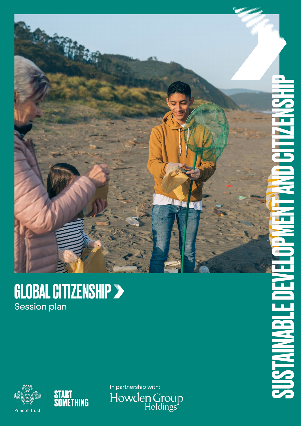

### GLOBAL CITIZENSHIP Session plan





In partnership with:<br>|Howden Group<br>|Holdings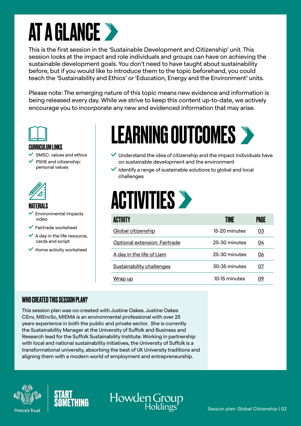### AT A GLANCE

This is the first session in the 'Sustainable Development and Citizenship' unit. This session looks at the impact and role individuals and groups can have on achieving the sustainable development goals. You don't need to have taught about sustainability before, but if you would like to introduce them to the topic beforehand, you could teach the 'Sustainability and Ethics' or 'Education, Energy and the Environment' units.

Please note: The emerging nature of this topic means new evidence and information is being released every day. While we strive to keep this content up-to-date, we actively encourage you to incorporate any new and evidenced information that may arise.



#### CURRICULUM LINKS

- SMSC: values and ethics
- PSHE and citizenship: personal values



#### MATERIALS

- Environmental impacts video
- $\vee$  Fairtrade worksheet
- $\vee$  A day in the life resource. cards and script
- $\vee$  Home activity worksheet

### LEARNING OUTCOMES

- $\vee$  Understand the idea of citizenship and the impact individuals have on sustainable development and the environment
- $\vee$  Identify a range of sustainable solutions to global and local challenges

### **ACTIVITIES >**

| <b>ACTIVITY</b>               | TIME          | PAGE |
|-------------------------------|---------------|------|
| Global citizenship            | 15-20 minutes | 03   |
| Optional extension: Fairtrade | 25-30 minutes | 04   |
| A day in the life of Liam     | 25-30 minutes | 06   |
| Sustainability challenges     | 30-35 minutes | 07   |
| <u>Wrap up</u>                | 10-15 minutes | 09   |

#### WHO CREATED THIS SESSION PLAN?

This session plan was co-created with Justine Oakes. Justine Oakes CEnv, MIEnvSc, MIEMA is an environmental professional with over 25 years experience in both the public and private sector. She is currently the Sustainability Manager at the University of Suffolk and Business and Research lead for the Suffolk Sustainability Institute. Working in partnership with local and national sustainability initiatives, the University of Suffolk is a transformational university, absorbing the best of UK University traditions and aligning them with a modern world of employment and entrepreneurship.





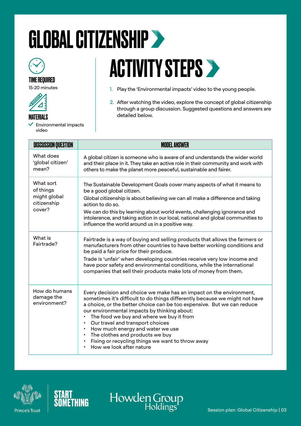### <span id="page-2-0"></span>GLOBAL CITIZENSHIP



#### TIME REQUIRED

15-20 minutes



- MATERIALS
- Environmental impacts video

### **ACTIVITY STEPS >**

- 1. Play the 'Environmental impacts' video to the young people.
- 2. After watching the video, explore the concept of global citizenship through a group discussion. Suggested questions and answers are detailed below.

| <b>DISCUSSION QUESTION</b>                                      | <b>MODEL ANSWER</b>                                                                                                                                                                                                                                                                                                                                                                                                                                                                                                              |
|-----------------------------------------------------------------|----------------------------------------------------------------------------------------------------------------------------------------------------------------------------------------------------------------------------------------------------------------------------------------------------------------------------------------------------------------------------------------------------------------------------------------------------------------------------------------------------------------------------------|
| What does<br>'global citizen'<br>mean?                          | A global citizen is someone who is aware of and understands the wider world<br>and their place in it. They take an active role in their community and work with<br>others to make the planet more peaceful, sustainable and fairer.                                                                                                                                                                                                                                                                                              |
| What sort<br>of things<br>might global<br>citizenship<br>cover? | The Sustainable Development Goals cover many aspects of what it means to<br>be a good global citizen.<br>Global citizenship is about believing we can all make a difference and taking<br>action to do so.<br>We can do this by learning about world events, challenging ignorance and<br>intolerance, and taking action in our local, national and global communities to<br>influence the world around us in a positive way.                                                                                                    |
| What is<br>Fairtrade?                                           | Fairtrade is a way of buying and selling products that allows the farmers or<br>manufacturers from other countries to have better working conditions and<br>be paid a fair price for their produce.<br>Trade is 'unfair' when developing countries receive very low income and<br>have poor safety and environmental conditions, while the international<br>companies that sell their products make lots of money from them.                                                                                                     |
| How do humans<br>damage the<br>environment?                     | Every decision and choice we make has an impact on the environment,<br>sometimes it's difficult to do things differently because we might not have<br>a choice, or the better choice can be too expensive. But we can reduce<br>our environmental impacts by thinking about:<br>The food we buy and where we buy it from<br>Our travel and transport choices<br>How much energy and water we use<br>The clothes and products we buy<br>Fixing or recycling things we want to throw away<br>$\bullet$<br>How we look after nature |

Howden Group





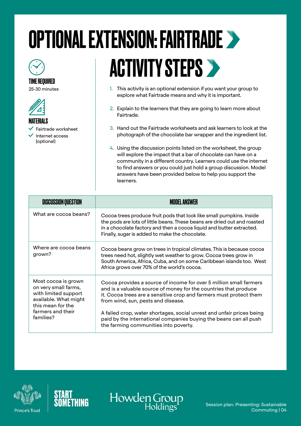# <span id="page-3-0"></span>OPTIONAL EXTENSION: FAIRTRADE



#### TIME REQUIRED

25-30 minutes



Fairtrade worksheet

 Internet access (optional)

# **ACTIVITY STEPS >**

- 1. This activity is an optional extension if you want your group to explore what Fairtrade means and why it is important.
- 2. Explain to the learners that they are going to learn more about Fairtrade.
- 3. Hand out the Fairtrade worksheets and ask learners to look at the photograph of the chocolate bar wrapper and the ingredient list.
- 4. Using the discussion points listed on the worksheet, the group will explore the impact that a bar of chocolate can have on a community in a different country. Learners could use the internet to find answers or you could just hold a group discussion. Model answers have been provided below to help you support the learners.

| <b>DISCUSSION QUESTION</b>                                                                                                                          | <b>MODEL ANSWER</b>                                                                                                                                                                                                                                                                                                                                                                                                                       |
|-----------------------------------------------------------------------------------------------------------------------------------------------------|-------------------------------------------------------------------------------------------------------------------------------------------------------------------------------------------------------------------------------------------------------------------------------------------------------------------------------------------------------------------------------------------------------------------------------------------|
| What are cocoa beans?                                                                                                                               | Cocoa trees produce fruit pods that look like small pumpkins. Inside<br>the pods are lots of little beans. These beans are dried out and roasted<br>in a chocolate factory and then a cocoa liquid and butter extracted.<br>Finally, sugar is added to make the chocolate.                                                                                                                                                                |
| Where are cocoa beans<br>grown?                                                                                                                     | Cocoa beans grow on trees in tropical climates. This is because cocoa<br>trees need hot, slightly wet weather to grow. Cocoa trees grow in<br>South America, Africa, Cuba, and on some Caribbean islands too. West<br>Africa grows over 70% of the world's cocoa.                                                                                                                                                                         |
| Most cocoa is grown<br>on very small farms,<br>with limited support<br>available. What might<br>this mean for the<br>farmers and their<br>families? | Cocoa provides a source of income for over 5 million small farmers<br>and is a valuable source of money for the countries that produce<br>it. Cocoa trees are a sensitive crop and farmers must protect them<br>from wind, sun, pests and disease.<br>A failed crop, water shortages, social unrest and unfair prices being<br>paid by the international companies buying the beans can all push<br>the farming communities into poverty. |





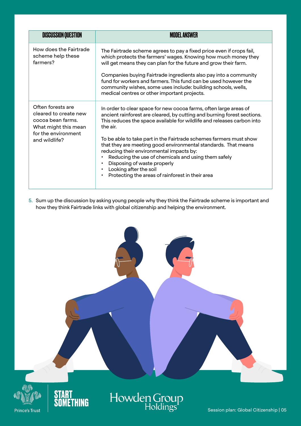| <b>DISCUSSION QUESTION</b>                                                                                                      | <b>MODEL ANSWER</b>                                                                                                                                                                                                                                                                                                                                                                                                                                                                                                                                                                                                       |
|---------------------------------------------------------------------------------------------------------------------------------|---------------------------------------------------------------------------------------------------------------------------------------------------------------------------------------------------------------------------------------------------------------------------------------------------------------------------------------------------------------------------------------------------------------------------------------------------------------------------------------------------------------------------------------------------------------------------------------------------------------------------|
| How does the Fairtrade<br>scheme help these<br>farmers?                                                                         | The Fairtrade scheme agrees to pay a fixed price even if crops fail,<br>which protects the farmers' wages. Knowing how much money they<br>will get means they can plan for the future and grow their farm.<br>Companies buying Fairtrade ingredients also pay into a community<br>fund for workers and farmers. This fund can be used however the<br>community wishes, some uses include: building schools, wells,<br>medical centres or other important projects.                                                                                                                                                        |
| Often forests are<br>cleared to create new<br>cocoa bean farms.<br>What might this mean<br>for the environment<br>and wildlife? | In order to clear space for new cocoa farms, often large areas of<br>ancient rainforest are cleared, by cutting and burning forest sections.<br>This reduces the space available for wildlife and releases carbon into<br>the air.<br>To be able to take part in the Fairtrade schemes farmers must show<br>that they are meeting good environmental standards. That means<br>reducing their environmental impacts by:<br>Reducing the use of chemicals and using them safely<br>Disposing of waste properly<br>٠<br>Looking after the soil<br>$\bullet$<br>Protecting the areas of rainforest in their area<br>$\bullet$ |

5. Sum up the discussion by asking young people why they think the Fairtrade scheme is important and how they think Fairtrade links with global citizenship and helping the environment.



**Prince's Trust** 



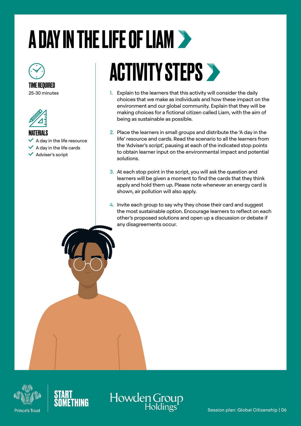## <span id="page-5-0"></span>A DAY IN THE LIFE OF LIAM

TIME REQUIRED 25-30 minutes



MATERIALS  $\vee$  A day in the life resource  $\vee$  A day in the life cards  $\checkmark$  Adviser's script

### **ACTIVITY STEPS >**

- 1. Explain to the learners that this activity will consider the daily choices that we make as individuals and how these impact on the environment and our global community. Explain that they will be making choices for a fictional citizen called Liam, with the aim of being as sustainable as possible.
- 2. Place the learners in small groups and distribute the 'A day in the life' resource and cards. Read the scenario to all the learners from the 'Adviser's script', pausing at each of the indicated stop points to obtain learner input on the environmental impact and potential solutions.
- 3. At each stop point in the script, you will ask the question and learners will be given a moment to find the cards that they think apply and hold them up. Please note whenever an energy card is shown, air pollution will also apply.
- 4. Invite each group to say why they chose their card and suggest the most sustainable option. Encourage learners to reflect on each other's proposed solutions and open up a discussion or debate if any disagreements occur.





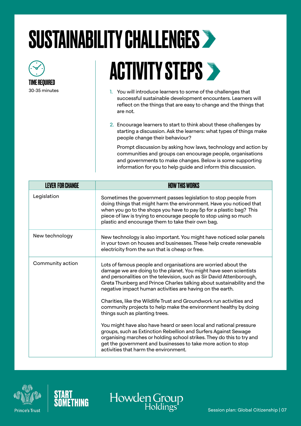### <span id="page-6-0"></span>SUSTAINABILITY CHALLENGES



### **ACTIVITY STEPS >**

- 1. You will introduce learners to some of the challenges that successful sustainable development encounters. Learners will reflect on the things that are easy to change and the things that are not.
- 2. Encourage learners to start to think about these challenges by starting a discussion. Ask the learners: what types of things make people change their behaviour?

Prompt discussion by asking how laws, technology and action by communities and groups can encourage people, organisations and governments to make changes. Below is some supporting information for you to help guide and inform this discussion.

| <b>LEVER FOR CHANGE</b> | <b>HOW THIS WORKS</b>                                                                                                                                                                                                                                                                                                                             |
|-------------------------|---------------------------------------------------------------------------------------------------------------------------------------------------------------------------------------------------------------------------------------------------------------------------------------------------------------------------------------------------|
| Legislation             | Sometimes the government passes legislation to stop people from<br>doing things that might harm the environment. Have you noticed that<br>when you go to the shops you have to pay 5p for a plastic bag? This<br>piece of law is trying to encourage people to stop using so much<br>plastic and encourage them to take their own bag.            |
| New technology          | New technology is also important. You might have noticed solar panels<br>in your town on houses and businesses. These help create renewable<br>electricity from the sun that is cheap or free.                                                                                                                                                    |
| Community action        | Lots of famous people and organisations are worried about the<br>damage we are doing to the planet. You might have seen scientists<br>and personalities on the television, such as Sir David Attenborough,<br>Greta Thunberg and Prince Charles talking about sustainability and the<br>negative impact human activities are having on the earth. |
|                         | Charities, like the Wildlife Trust and Groundwork run activities and<br>community projects to help make the environment healthy by doing<br>things such as planting trees.                                                                                                                                                                        |
|                         | You might have also have heard or seen local and national pressure<br>groups, such as Extinction Rebellion and Surfers Against Sewage<br>organising marches or holding school strikes. They do this to try and<br>get the government and businesses to take more action to stop<br>activities that harm the environment.                          |

Howden C



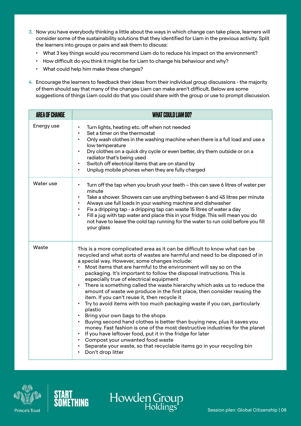- 3. Now you have everybody thinking a little about the ways in which change can take place, learners will consider some of the sustainability solutions that they identified for Liam in the previous activity. Split the learners into groups or pairs and ask them to discuss:
	- What 3 key things would you recommend Liam do to reduce his impact on the environment?
	- How difficult do you think it might be for Liam to change his behaviour and why?
	- What could help him make these changes?
- 4. Encourage the learners to feedback their ideas from their individual group discussions the majority of them should say that many of the changes Liam can make aren't difficult. Below are some suggestions of things Liam could do that you could share with the group or use to prompt discussion.

| <b>AREA OF CHANGE</b> | <b>WHAT COULD LIAM DO?</b>                                                                                                                                                                                                                                                                                                                                                                                                                                                                                                                                                                                                                                                                                                                                                                                                                                                                                                                                                                                                                                                                                                                                                                      |
|-----------------------|-------------------------------------------------------------------------------------------------------------------------------------------------------------------------------------------------------------------------------------------------------------------------------------------------------------------------------------------------------------------------------------------------------------------------------------------------------------------------------------------------------------------------------------------------------------------------------------------------------------------------------------------------------------------------------------------------------------------------------------------------------------------------------------------------------------------------------------------------------------------------------------------------------------------------------------------------------------------------------------------------------------------------------------------------------------------------------------------------------------------------------------------------------------------------------------------------|
| Energy use            | Turn lights, heating etc. off when not needed<br>$\bullet$<br>Set a timer on the thermostat<br>Only wash clothes in the washing machine when there is a full load and use a<br>low temperature<br>Dry clothes on a quick dry cycle or even better, dry them outside or on a<br>radiator that's being used<br>Switch off electrical items that are on stand by<br>$\bullet$<br>Unplug mobile phones when they are fully charged                                                                                                                                                                                                                                                                                                                                                                                                                                                                                                                                                                                                                                                                                                                                                                  |
| Water use             | Turn off the tap when you brush your teeth - this can save 6 litres of water per<br>$\bullet$<br>minute<br>Take a shower. Showers can use anything between 6 and 45 litres per minute<br>$\bullet$<br>Always use full loads in your washing machine and dishwasher<br>Fix a dripping tap - a dripping tap can waste 15 litres of water a day<br>$\bullet$<br>Fill a jug with tap water and place this in your fridge. This will mean you do<br>not have to leave the cold tap running for the water to run cold before you fill<br>your glass                                                                                                                                                                                                                                                                                                                                                                                                                                                                                                                                                                                                                                                   |
| Waste                 | This is a more complicated area as it can be difficult to know what can be<br>recycled and what sorts of wastes are harmful and need to be disposed of in<br>a special way. However, some changes include:<br>Most items that are harmful to the environment will say so on the<br>packaging. It's important to follow the disposal instructions. This is<br>especially true of electrical equipment<br>There is something called the waste hierarchy which asks us to reduce the<br>$\bullet$<br>amount of waste we produce in the first place, then consider reusing the<br>item. If you can't reuse it, then recycle it<br>Try to avoid items with too much packaging waste if you can, particularly<br>$\bullet$<br>plastic<br>Bring your own bags to the shops<br>$\bullet$<br>Buying second hand clothes is better than buying new, plus it saves you<br>$\bullet$<br>money. Fast fashion is one of the most destructive industries for the planet<br>If you have leftover food, put it in the fridge for later<br>$\bullet$<br>Compost your unwanted food waste<br>$\bullet$<br>Separate your waste, so that recyclable items go in your recycling bin<br>$\bullet$<br>Don't drop litter |

Howden Group